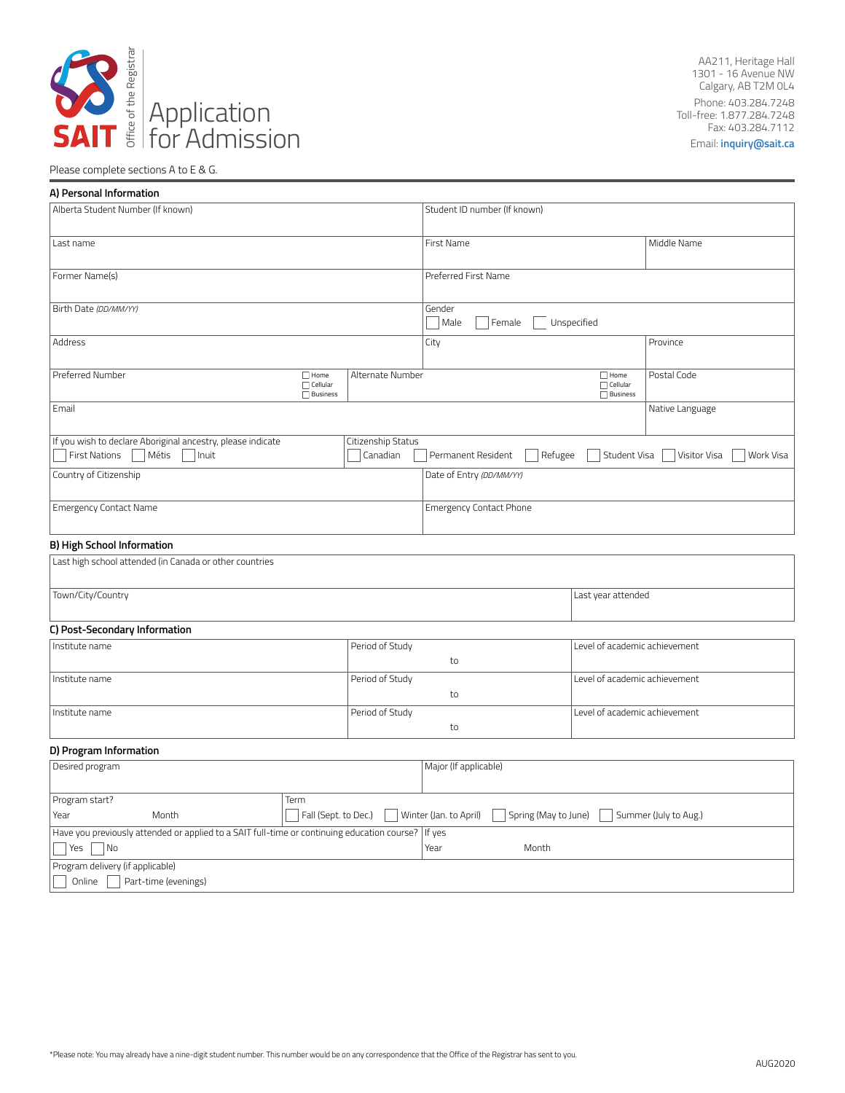

AA211, Heritage Hall 1301 - 16 Avenue NW Calgary, AB T2M 0L4 Phone: 403.284.7248 Toll-free: 1.877.284.7248 Fax: 403.284.7112 Email: **[inquiry@sait.ca](mailto:inquiry@sait.ca)**

# Please complete sections A to E & G.

| A) Personal Information                                                                     |                                                   |                      |                                |                      |                                                   |                           |
|---------------------------------------------------------------------------------------------|---------------------------------------------------|----------------------|--------------------------------|----------------------|---------------------------------------------------|---------------------------|
| Alberta Student Number (If known)                                                           |                                                   |                      | Student ID number (If known)   |                      |                                                   |                           |
|                                                                                             |                                                   |                      |                                |                      |                                                   |                           |
| Last name                                                                                   |                                                   | First Name           |                                |                      | Middle Name                                       |                           |
| Former Name(s)                                                                              |                                                   | Preferred First Name |                                |                      |                                                   |                           |
|                                                                                             |                                                   |                      |                                |                      |                                                   |                           |
| Birth Date (DD/MM/YY)                                                                       |                                                   |                      | Gender<br>Male<br>Female       | Unspecified          |                                                   |                           |
| <b>Address</b>                                                                              |                                                   |                      | City                           |                      |                                                   | Province                  |
| Preferred Number                                                                            | $\Box$ Home<br>$\Box$ Cellular<br>$\Box$ Business | Alternate Number     |                                |                      | $\Box$ Home<br>$\Box$ Cellular<br><b>Business</b> | Postal Code               |
| Email                                                                                       |                                                   |                      |                                |                      |                                                   | Native Language           |
| If you wish to declare Aboriginal ancestry, please indicate                                 |                                                   | Citizenship Status   |                                |                      |                                                   |                           |
| <b>First Nations</b><br>Métis<br>Inuit                                                      |                                                   | Canadian             | Permanent Resident             | Refugee              | Student Visa                                      | Visitor Visa<br>Work Visa |
| Country of Citizenship                                                                      |                                                   |                      | Date of Entry (DD/MM/YY)       |                      |                                                   |                           |
| <b>Emergency Contact Name</b>                                                               |                                                   |                      | <b>Emergency Contact Phone</b> |                      |                                                   |                           |
| B) High School Information                                                                  |                                                   |                      |                                |                      |                                                   |                           |
| Last high school attended (in Canada or other countries                                     |                                                   |                      |                                |                      |                                                   |                           |
| Town/City/Country                                                                           |                                                   |                      |                                |                      | Last year attended                                |                           |
|                                                                                             |                                                   |                      |                                |                      |                                                   |                           |
| C) Post-Secondary Information                                                               |                                                   |                      |                                |                      |                                                   |                           |
| Institute name                                                                              |                                                   | Period of Study      | to                             |                      | Level of academic achievement                     |                           |
| Institute name                                                                              |                                                   | Period of Study      |                                |                      | Level of academic achievement                     |                           |
|                                                                                             |                                                   |                      | to                             |                      |                                                   |                           |
| Institute name                                                                              |                                                   | Period of Study      | to                             |                      | Level of academic achievement                     |                           |
| D) Program Information                                                                      |                                                   |                      |                                |                      |                                                   |                           |
| Desired program                                                                             |                                                   |                      | Major (If applicable)          |                      |                                                   |                           |
| Program start?<br>Term                                                                      |                                                   |                      |                                |                      |                                                   |                           |
| Year<br>Month                                                                               | Fall (Sept. to Dec.)                              |                      | Winter (Jan. to April)         | Spring (May to June) |                                                   | Summer (July to Aug.)     |
| Have you previously attended or applied to a SAIT full-time or continuing education course? |                                                   |                      | If yes                         |                      |                                                   |                           |
| Yes<br>No                                                                                   |                                                   |                      | Year                           | Month                |                                                   |                           |
| Program delivery (if applicable)                                                            |                                                   |                      |                                |                      |                                                   |                           |
| Online<br>Part-time (evenings)                                                              |                                                   |                      |                                |                      |                                                   |                           |